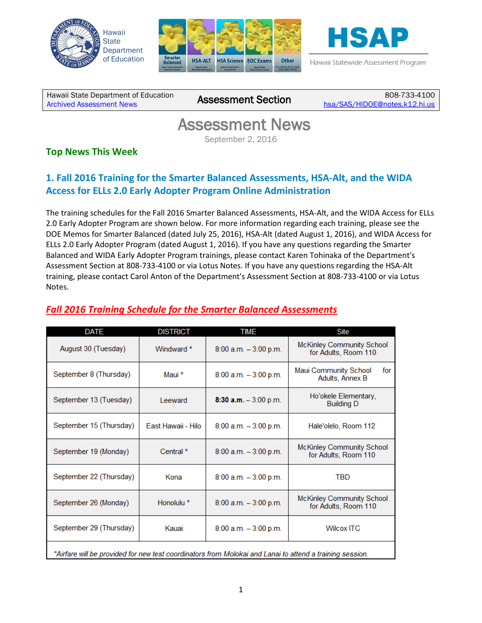





Hawaii Statewide Assessment Program

Hawaii State Department of Education Hawall State Department of Equipation<br>[Archived Assessment News](http://alohahsap.org/SMARTERBALANCED/resources/?section=8) **ASSESSMENT Section** 

808-733-4100 [hsa/SAS/HIDOE@notes.k12.hi.us](mailto:hsa/SAS/HIDOE@notes.k12.hi.us)

# Assessment News

September 2, 2016

### **Top News This Week**

## **1. Fall 2016 Training for the Smarter Balanced Assessments, HSA-Alt, and the WIDA Access for ELLs 2.0 Early Adopter Program Online Administration**

The training schedules for the Fall 2016 Smarter Balanced Assessments, HSA-Alt, and the WIDA Access for ELLs 2.0 Early Adopter Program are shown below. For more information regarding each training, please see the DOE Memos for Smarter Balanced (dated July 25, 2016), HSA-Alt (dated August 1, 2016), and WIDA Access for ELLs 2.0 Early Adopter Program (dated August 1, 2016). If you have any questions regarding the Smarter Balanced and WIDA Early Adopter Program trainings, please contact Karen Tohinaka of the Department's Assessment Section at 808-733-4100 or via Lotus Notes. If you have any questions regarding the HSA-Alt training, please contact Carol Anton of the Department's Assessment Section at 808-733-4100 or via Lotus Notes.

### *Fall 2016 Training Schedule for the Smarter Balanced Assessments*

| DATE                                                                                                     | <b>DISTRICT</b>       | <b>TIME</b>              | Site                                                     |  |  |
|----------------------------------------------------------------------------------------------------------|-----------------------|--------------------------|----------------------------------------------------------|--|--|
| August 30 (Tuesday)                                                                                      | Windward *            | $8:00$ a.m. $-3:00$ p.m. | <b>McKinley Community School</b><br>for Adults, Room 110 |  |  |
| September 8 (Thursday)                                                                                   | Maui *                | $8:00$ a.m. $-3:00$ p.m. | Maui Community School<br>for<br>Adults, Annex B          |  |  |
| September 13 (Tuesday)                                                                                   | Leeward               | 8:30 a.m. $-3:00$ p.m.   | Ho'okele Elementary,<br><b>Building D</b>                |  |  |
| September 15 (Thursday)                                                                                  | East Hawaii - Hilo    | $8:00$ a.m. $-3:00$ p.m. | Hale'olelo, Room 112                                     |  |  |
| September 19 (Monday)                                                                                    | Central <sup>*</sup>  | $8:00$ a.m. $-3:00$ p.m. | <b>McKinley Community School</b><br>for Adults, Room 110 |  |  |
| September 22 (Thursday)                                                                                  | Kona                  | $8:00$ a.m. $-3:00$ p.m. | TBD                                                      |  |  |
| September 26 (Monday)                                                                                    | Honolulu <sup>*</sup> | $8:00$ a.m. $-3:00$ p.m. | <b>McKinley Community School</b><br>for Adults, Room 110 |  |  |
| September 29 (Thursday)                                                                                  | Kauai                 | $8:00$ a.m. $-3:00$ p.m. | <b>Wilcox ITC</b>                                        |  |  |
| *Airfare will be provided for new test coordinators from Molokai and Lanai to attend a training session. |                       |                          |                                                          |  |  |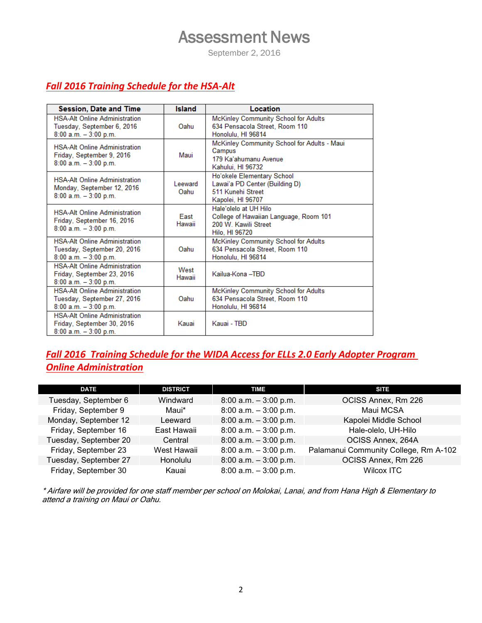## Assessment News

September 2, 2016

## *Fall 2016 Training Schedule for the HSA-Alt*

| <b>Session, Date and Time</b>                                                                   | <b>Island</b>   | Location                                                                                                  |  |
|-------------------------------------------------------------------------------------------------|-----------------|-----------------------------------------------------------------------------------------------------------|--|
| <b>HSA-Alt Online Administration</b><br>Tuesday, September 6, 2016<br>$8:00$ a.m. $-3:00$ p.m.  | Oahu            | <b>McKinley Community School for Adults</b><br>634 Pensacola Street, Room 110<br>Honolulu, HI 96814       |  |
| <b>HSA-Alt Online Administration</b><br>Friday, September 9, 2016<br>$8:00$ a.m. $-3:00$ p.m.   | Maui            | McKinley Community School for Adults - Maui<br>Campus<br>179 Ka'ahumanu Avenue<br>Kahului, HI 96732       |  |
| <b>HSA-Alt Online Administration</b><br>Monday, September 12, 2016<br>$8:00$ a.m. $-3:00$ p.m.  | Leeward<br>Oahu | Ho'okele Elementary School<br>Lawai'a PD Center (Building D)<br>511 Kunehi Street<br>Kapolei, HI 96707    |  |
| <b>HSA-Alt Online Administration</b><br>Friday, September 16, 2016<br>$8:00$ a.m. $-3:00$ p.m.  | East<br>Hawaii  | Hale'olelo at UH Hilo<br>College of Hawaiian Language, Room 101<br>200 W. Kawili Street<br>Hilo, HI 96720 |  |
| <b>HSA-Alt Online Administration</b><br>Tuesday, September 20, 2016<br>$8:00$ a.m. $-3:00$ p.m. | Oahu            | McKinley Community School for Adults<br>634 Pensacola Street, Room 110<br>Honolulu, HI 96814              |  |
| <b>HSA-Alt Online Administration</b><br>Friday, September 23, 2016<br>$8:00$ a.m. $-3:00$ p.m.  | West<br>Hawaii  | Kailua-Kona - TBD                                                                                         |  |
| <b>HSA-Alt Online Administration</b><br>Tuesday, September 27, 2016<br>$8:00$ a.m. $-3:00$ p.m. | Oahu            | McKinley Community School for Adults<br>634 Pensacola Street, Room 110<br>Honolulu, HI 96814              |  |
| <b>HSA-Alt Online Administration</b><br>Friday, September 30, 2016<br>$8:00$ a.m. $-3:00$ p.m.  | Kauai           | Kauai - TBD                                                                                               |  |

## *Fall 2016 Training Schedule for the WIDA Access for ELLs 2.0 Early Adopter Program Online Administration*

| <b>DATE</b>           | <b>DISTRICT</b> | <b>TIME</b>              | <b>SITE</b>                           |
|-----------------------|-----------------|--------------------------|---------------------------------------|
| Tuesday, September 6  | Windward        | $8:00$ a.m. $-3:00$ p.m. | OCISS Annex, Rm 226                   |
| Friday, September 9   | Maui*           | $8:00$ a.m. $-3:00$ p.m. | Maui MCSA                             |
| Monday, September 12  | Leeward         | $8:00$ a.m. $-3:00$ p.m. | Kapolei Middle School                 |
| Friday, September 16  | East Hawaii     | $8:00$ a.m. $-3:00$ p.m. | Hale-olelo, UH-Hilo                   |
| Tuesday, September 20 | Central         | $8:00$ a.m. $-3:00$ p.m. | OCISS Annex, 264A                     |
| Friday, September 23  | West Hawaii     | $8:00$ a.m. $-3:00$ p.m. | Palamanui Community College, Rm A-102 |
| Tuesday, September 27 | Honolulu        | $8:00$ a.m. $-3:00$ p.m. | OCISS Annex, Rm 226                   |
| Friday, September 30  | Kauai           | $8:00$ a.m. $-3:00$ p.m. | Wilcox ITC                            |

\* Airfare will be provided for one staff member per school on Molokai, Lanai, and from Hana High & Elementary to attend a training on Maui or Oahu.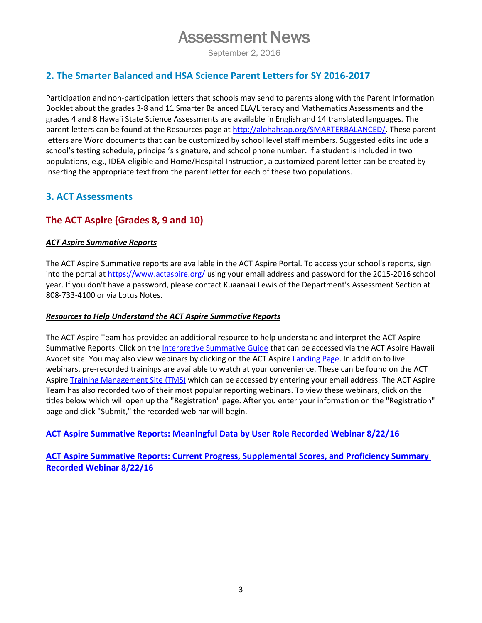## Assessment News

September 2, 2016

#### **2. The Smarter Balanced and HSA Science Parent Letters for SY 2016-2017**

Participation and non-participation letters that schools may send to parents along with the Parent Information Booklet about the grades 3-8 and 11 Smarter Balanced ELA/Literacy and Mathematics Assessments and the grades 4 and 8 Hawaii State Science Assessments are available in English and 14 translated languages*.* The parent letters can be found at the Resources page a[t http://alohahsap.org/SMARTERBALANCED/.](http://alohahsap.org/SMARTERBALANCED/) These parent letters are Word documents that can be customized by school level staff members. Suggested edits include a school's testing schedule, principal's signature, and school phone number. If a student is included in two populations, e.g., IDEA-eligible and Home/Hospital Instruction, a customized parent letter can be created by inserting the appropriate text from the parent letter for each of these two populations.

### **3. ACT Assessments**

### **The ACT Aspire (Grades 8, 9 and 10)**

#### *ACT Aspire Summative Reports*

The ACT Aspire Summative reports are available in the ACT Aspire Portal. To access your school's reports, sign into the portal at<https://www.actaspire.org/>using your email address and password for the 2015-2016 school year. If you don't have a password, please contact Kuaanaai Lewis of the Department's Assessment Section at 808-733-4100 or via Lotus Notes.

#### *Resources to Help Understand the ACT Aspire Summative Reports*

The ACT Aspire Team has provided an additional resource to help understand and interpret the ACT Aspire Summative Reports. Click on the [Interpretive Summative Guide](http://avocet.pearson.com/HawaiiACTAspire/Home#13676) that can be accessed via the ACT Aspire Hawaii Avocet site. You may also view webinars by clicking on the ACT Aspire [Landing Page.](http://actaspire.pearson.com/allresources.html) In addition to live webinars, pre-recorded trainings are available to watch at your convenience. These can be found on the ACT Aspire [Training Management Site \(TMS\)](https://actaspire.tms.pearson.com/Account/Login?ReturnUrl=%2f) which can be accessed by entering your email address. The ACT Aspire Team has also recorded two of their most popular reporting webinars. To view these webinars, click on the titles below which will open up the "Registration" page. After you enter your information on the "Registration" page and click "Submit," the recorded webinar will begin.

**[ACT Aspire Summative Reports: Meaningful Data by User Role Recorded Webinar 8/22/16](https://attendee.gototraining.com/r/5917563161403928321)**

**[ACT Aspire Summative Reports: Current Progress, Supplemental Scores, and Proficiency Summary](https://attendee.gototraining.com/r/244639514961660162)  [Recorded Webinar 8/22/16](https://attendee.gototraining.com/r/244639514961660162)**